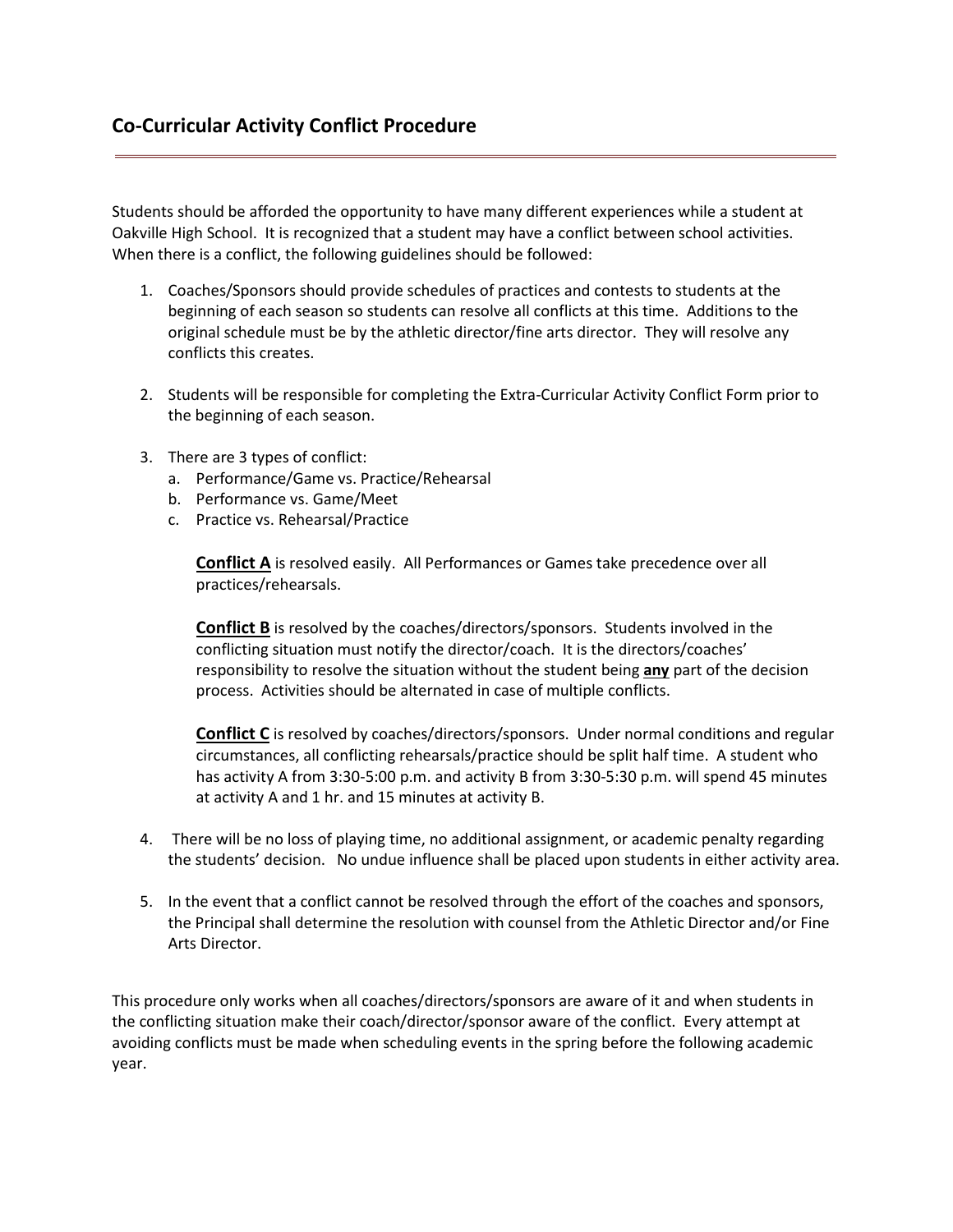Students should be afforded the opportunity to have many different experiences while a student at Oakville High School. It is recognized that a student may have a conflict between school activities. When there is a conflict, the following guidelines should be followed:

- 1. Coaches/Sponsors should provide schedules of practices and contests to students at the beginning of each season so students can resolve all conflicts at this time. Additions to the original schedule must be by the athletic director/fine arts director. They will resolve any conflicts this creates.
- 2. Students will be responsible for completing the Extra-Curricular Activity Conflict Form prior to the beginning of each season.
- 3. There are 3 types of conflict:
	- a. Performance/Game vs. Practice/Rehearsal
	- b. Performance vs. Game/Meet
	- c. Practice vs. Rehearsal/Practice

**Conflict A** is resolved easily. All Performances or Games take precedence over all practices/rehearsals.

**Conflict B** is resolved by the coaches/directors/sponsors. Students involved in the conflicting situation must notify the director/coach. It is the directors/coaches' responsibility to resolve the situation without the student being **any** part of the decision process. Activities should be alternated in case of multiple conflicts.

**Conflict C** is resolved by coaches/directors/sponsors. Under normal conditions and regular circumstances, all conflicting rehearsals/practice should be split half time. A student who has activity A from 3:30-5:00 p.m. and activity B from 3:30-5:30 p.m. will spend 45 minutes at activity A and 1 hr. and 15 minutes at activity B.

- 4. There will be no loss of playing time, no additional assignment, or academic penalty regarding the students' decision. No undue influence shall be placed upon students in either activity area.
- 5. In the event that a conflict cannot be resolved through the effort of the coaches and sponsors, the Principal shall determine the resolution with counsel from the Athletic Director and/or Fine Arts Director.

This procedure only works when all coaches/directors/sponsors are aware of it and when students in the conflicting situation make their coach/director/sponsor aware of the conflict. Every attempt at avoiding conflicts must be made when scheduling events in the spring before the following academic year.